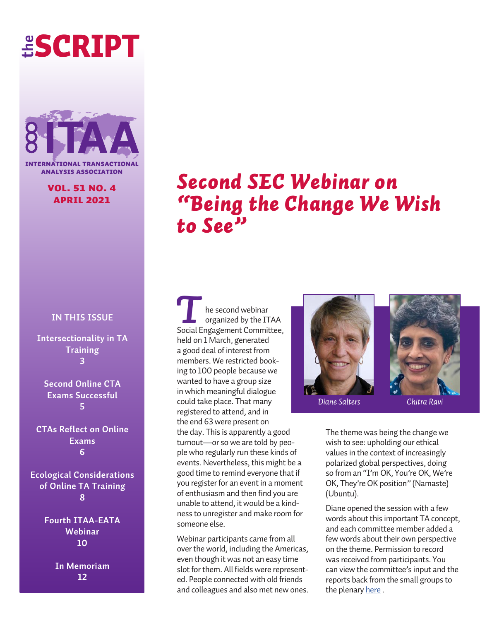# **the** SCRIPT



**INTERNATIONAL TRANSACTION** analysis association

### vol. 51 no. 4 april 2021

### **IN THIS ISSUE**

**Intersectionality in TA Training 3**

**Second Online CTA Exams Successful 5**

**CTAs Reflect on Online Exams 6**

**Ecological Considerations of Online TA Training 8**

> **Fourth ITAA-EATA Webinar 10**

> > **In Memoriam 12**

# *Second SEC Webinar on "Being the Change We Wish to See"*

he second webinar organized by the ITAA **Social Engagement Committee,** held on 1 March, generated a good deal of interest from members. We restricted booking to 100 people because we wanted to have a group size in which meaningful dialogue could take place. That many registered to attend, and in the end 63 were present on the day. This is apparently a good turnout—or so we are told by people who regularly run these kinds of events. Nevertheless, this might be a good time to remind everyone that if you register for an event in a moment of enthusiasm and then find you are unable to attend, it would be a kindness to unregister and make room for someone else.

Webinar participants came from all over the world, including the Americas, even though it was not an easy time slot for them. All fields were represented. People connected with old friends and colleagues and also met new ones.



*Diane Salters Chitra Ravi*

The theme was being the change we wish to see: upholding our ethical values in the context of increasingly polarized global perspectives, doing so from an "I'm OK, You're OK, We're OK, They're OK position" (Namaste) (Ubuntu).

Diane opened the session with a few words about this important TA concept, and each committee member added a few words about their own perspective on the theme. Permission to record was received from participants. You can view the committee's input and the reports back from the small groups to the plenary [here](https://www.youtube.com/watch?v=7bv5RudyD6A
) .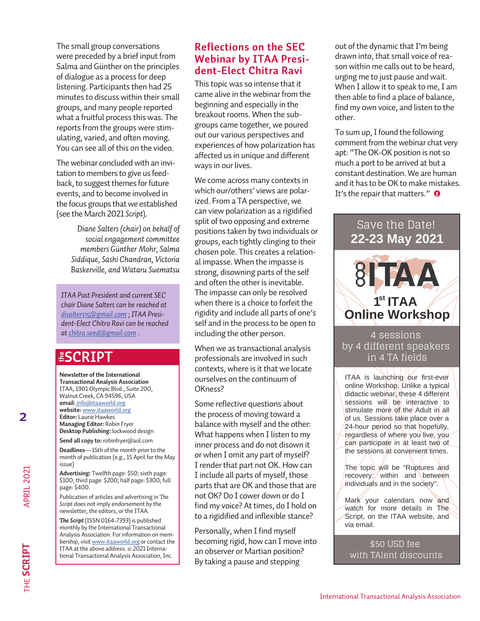The small group conversations were preceded by a brief input from Salma and Günther on the principles of dialogue as a process for deep listening. Participants then had 25 minutes to discuss within their small groups, and many people reported what a fruitful process this was. The reports from the groups were stimulating, varied, and often moving. You can see all of this on the video.

The webinar concluded with an invitation to members to give us feedback, to suggest themes for future events, and to become involved in the focus groups that we established (see the March 2021 *Script*).

> *Diane Salters (chair) on behalf of social engagement committee members Günther Mohr, Salma Siddique, Sashi Chandran, Victoria Baskerville, and Wataru Suematsu*

*ITAA Past President and current SEC chair Diane Salters can be reached at [disalters15@gmail.com](mailto:disalters15%40gmail.com?subject=) ; ITAA President-Elect Chitra Ravi can be reached at [chitra.seed@gmail.com](mailto:chitra.seed%40gmail.com?subject=) .* 

### **ESCRIPT**

**Newsletter of the International Transactional Analysis Association** ITAA, 1901 Olympic Blvd., Suite 200, Walnut Creek, CA 94596, USA **email:** info@itaaworld.org **website:** [www.itaaworld.org](http://www.itaaworld.org) **Editor:** Laurie Hawkes **Managing Editor:** Robin Fryer **Desktop Publishing:** lockwood design **ESCRIP**<br>
Newsletter of the International<br>
Transactional Analysis Association<br>
ITAA, 1901 Olympic Blvd., Suite 200,<br>
Walnut Creek, CA 94596, USA<br>
email: info@itaaworld.org<br>
website: www.itaaworld.org<br> **Editor:** Laurie Hawk

**Send all copy to:** robinfryer@aol.com

**Deadlines**—15th of the month prior to the month of publication (e.g., 15 April for the May issue)

**Advertising:** Twelfth page: \$50; sixth page: \$100; third page: \$200; half page: \$300; full page: \$400.

Publication of articles and advertising in *The Script* does not imply endorsement by the newsletter, the editors, or the ITAA.

*The Script* (ISSN 0164-7393) is published monthly by the International Transactional Analysis Association. For information on membership, visit [www.itaaworld.org](http://www.itaaworld.org) or contact the ITAA at the above address. © 2021 Interna-

### **Reflections on the SEC Webinar by ITAA President-Elect Chitra Ravi**

This topic was so intense that it came alive in the webinar from the beginning and especially in the breakout rooms. When the subgroups came together, we poured out our various perspectives and experiences of how polarization has affected us in unique and different ways in our lives.

We come across many contexts in which our/others' views are polarized. From a TA perspective, we can view polarization as a rigidified split of two opposing and extreme positions taken by two individuals or groups, each tightly clinging to their chosen pole. This creates a relational impasse. When the impasse is strong, disowning parts of the self and often the other is inevitable. The impasse can only be resolved when there is a choice to forfeit the rigidity and include all parts of one's self and in the process to be open to including the other person.

When we as transactional analysis professionals are involved in such contexts, where is it that we locate ourselves on the continuum of OKness?

Some reflective questions about the process of moving toward a balance with myself and the other: What happens when I listen to my inner process and do not disown it or when I omit any part of myself? I render that part not OK. How can I include all parts of myself, those parts that are OK and those that are not OK? Do I cower down or do I find my voice? At times, do I hold on to a rigidified and inflexible stance?

Personally, when I find myself becoming rigid, how can I move into an observer or Martian position? By taking a pause and stepping

out of the dynamic that I'm being drawn into, that small voice of reason within me calls out to be heard, urging me to just pause and wait. When I allow it to speak to me, I am then able to find a place of balance, find my own voice, and listen to the other.

*S* It's the repair that matters." To sum up, I found the following comment from the webinar chat very apt: "The OK-OK position is not so much a port to be arrived at but a constant destination. We are human and it has to be OK to make mistakes.

### Save the Date! **22-23 May 2021**



4 sessions by 4 different speakers in 4 TA fields

ITAA is launching our first-ever online Workshop. Unlike a typical didactic webinar, these 4 different sessions will be interactive to stimulate more of the Adult in all of us. Sessions take place over a 24-hour period so that hopefully, regardless of where you live, you can participate in at least two of the sessions at convenient times.

The topic will be "Ruptures and recovery: within and between individuals and in the society".

Mark your calendars now and watch for more details in The Script, on the ITAA website, and via email.

\$50 USD fee with TAlent discounts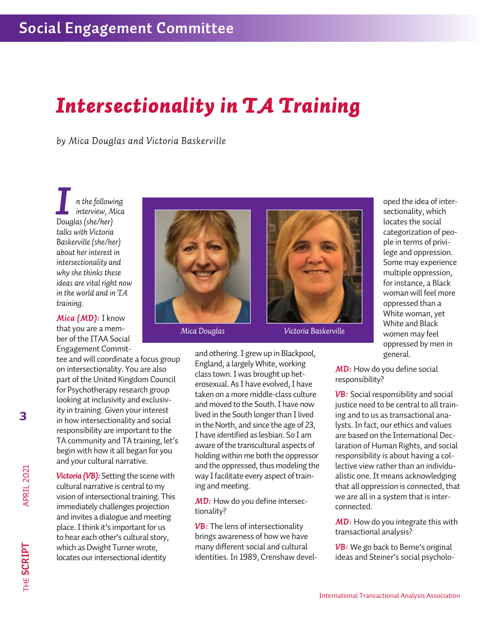### *Intersectionality in TA Training*

*by Mica Douglas and Victoria Baskerville*

*n the following interview, Mica Douglas (she/her) I talks with Victoria Baskerville (she/her) about her interest in intersectionality and why she thinks these ideas are vital right now in the world and in TA training.*

*Mica (MD):* I know that you are a member of the ITAA Social Engagement Commit-

tee and will coordinate a focus group on intersectionality. You are also part of the United Kingdom Council for Psychotherapy research group looking at inclusivity and exclusivity in training. Given your interest in how intersectionality and social responsibility are important to the TA community and TA training, let's begin with how it all began for you and your cultural narrative.

*Victoria (VB):* Setting the scene with cultural narrative is central to my vision of intersectional training. This immediately challenges projection and invites a dialogue and meeting place. I think it's important for us to hear each other's cultural story, which as Dwight Turner wrote, locates our intersectional identity





*Mica Douglas Victoria Baskerville*

and othering. I grew up in Blackpool, England, a largely White, working class town. I was brought up heterosexual. As I have evolved, I have taken on a more middle-class culture and moved to the South. I have now lived in the South longer than I lived in the North, and since the age of 23, I have identified as lesbian. So I am aware of the transcultural aspects of holding within me both the oppressor and the oppressed, thus modeling the way I facilitate every aspect of training and meeting.

*MD:* How do you define intersectionality?

*VB:* The lens of intersectionality brings awareness of how we have many different social and cultural identities. In 1989, Crenshaw devel-

oped the idea of intersectionality, which locates the social categorization of people in terms of privilege and oppression. Some may experience multiple oppression, for instance, a Black woman will feel more oppressed than a White woman, yet White and Black women may feel oppressed by men in general.

**MD:** How do you define social responsibility?

**VB:** Social responsibility and social justice need to be central to all training and to us as transactional analysts. In fact, our ethics and values are based on the International Declaration of Human Rights, and social responsibility is about having a collective view rather than an individualistic one. It means acknowledging that all oppression is connected, that we are all in a system that is interconnected.

**MD:** How do you integrate this with transactional analysis?

**VB:** We go back to Berne's original ideas and Steiner's social psycholo-

APRIL 2021

**3**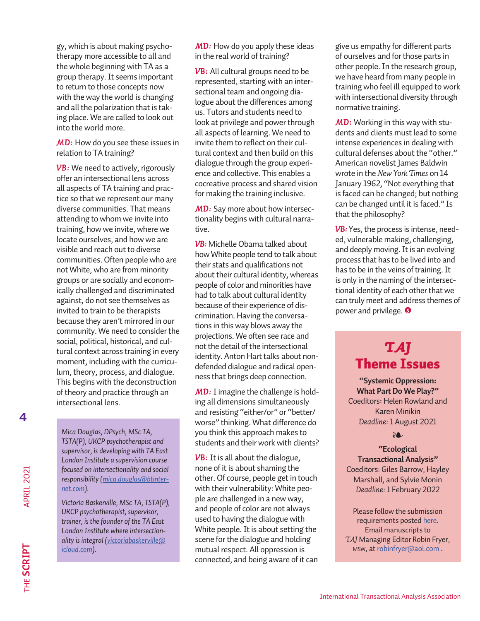gy, which is about making psychotherapy more accessible to all and the whole beginning with TA as a group therapy. It seems important to return to those concepts now with the way the world is changing and all the polarization that is taking place. We are called to look out into the world more.

**MD:** How do you see these issues in relation to TA training?

**VB:** We need to actively, rigorously offer an intersectional lens across all aspects of TA training and practice so that we represent our many diverse communities. That means attending to whom we invite into training, how we invite, where we locate ourselves, and how we are visible and reach out to diverse communities. Often people who are not White, who are from minority groups or are socially and economically challenged and discriminated against, do not see themselves as invited to train to be therapists because they aren't mirrored in our community. We need to consider the social, political, historical, and cultural context across training in every moment, including with the curriculum, theory, process, and dialogue. This begins with the deconstruction of theory and practice through an intersectional lens.

**4**

*Mica Douglas, DPsych, MSc TA, TSTA(P), UKCP psychotherapist and supervisor, is developing with TA East London Institute a supervision course focused on intersectionality and social responsibility [\(mica.douglas@btinter](mailto:mica.douglas%40btinternet.com?subject=)[net.com\)](mailto:mica.douglas%40btinternet.com?subject=).*

*Victoria Baskerville, MSc TA, TSTA(P), UKCP psychotherapist, supervisor, trainer, is the founder of the TA East London Institute where intersectionality is integral ([victoriabaskerville@](mailto:victoriabaskerville%40icloud.com?subject=) [icloud.com\)](mailto:victoriabaskerville%40icloud.com?subject=).*

*MD:* How do you apply these ideas in the real world of training?

**VB:** All cultural groups need to be represented, starting with an intersectional team and ongoing dialogue about the differences among us. Tutors and students need to look at privilege and power through all aspects of learning. We need to invite them to reflect on their cultural context and then build on this dialogue through the group experience and collective. This enables a cocreative process and shared vision for making the training inclusive.

**MD:** Say more about how intersectionality begins with cultural narrative.

*VB:* Michelle Obama talked about how White people tend to talk about their stats and qualifications not about their cultural identity, whereas people of color and minorities have had to talk about cultural identity because of their experience of discrimination. Having the conversations in this way blows away the projections. We often see race and not the detail of the intersectional identity. Anton Hart talks about nondefended dialogue and radical openness that brings deep connection.

*MD:* I imagine the challenge is holding all dimensions simultaneously and resisting "either/or" or "better/ worse" thinking. What difference do you think this approach makes to students and their work with clients?

*VB:* It is all about the dialogue, none of it is about shaming the other. Of course, people get in touch with their vulnerability: White people are challenged in a new way, and people of color are not always used to having the dialogue with White people. It is about setting the scene for the dialogue and holding mutual respect. All oppression is connected, and being aware of it can

give us empathy for different parts of ourselves and for those parts in other people. In the research group, we have heard from many people in training who feel ill equipped to work with intersectional diversity through normative training.

*MD:* Working in this way with students and clients must lead to some intense experiences in dealing with cultural defenses about the "other." American novelist James Baldwin wrote in the *New York Times* on 14 January 1962, "Not everything that is faced can be changed; but nothing can be changed until it is faced." Is that the philosophy?

**VB:** Yes, the process is intense, needed, vulnerable making, challenging, and deeply moving. It is an evolving process that has to be lived into and has to be in the veins of training. It is only in the naming of the intersectional identity of each other that we can truly meet and address themes of power and privilege. *S*

### *TAJ* Theme Issues

**"Systemic Oppression: What Part Do We Play?"** Coeditors: Helen Rowland and Karen Minikin *Deadline:* 1 August 2021

#### ❧

**"Ecological Transactional Analysis"** Coeditors: Giles Barrow, Hayley Marshall, and Sylvie Monin *Deadline:* 1 February 2022

Please follow the submission requirements posted [here](http://itaaworld.org/sites/default/files/itaa-pdfs/taj-guidelines/18%205-3%20TAJ%20submission%20guidelines%20rev%20final.pdf). Email manuscripts to *TAJ* Managing Editor Robin Fryer, msw, at [robinfryer@aol.com](mailto:robinfryer%40aol.com?subject=) .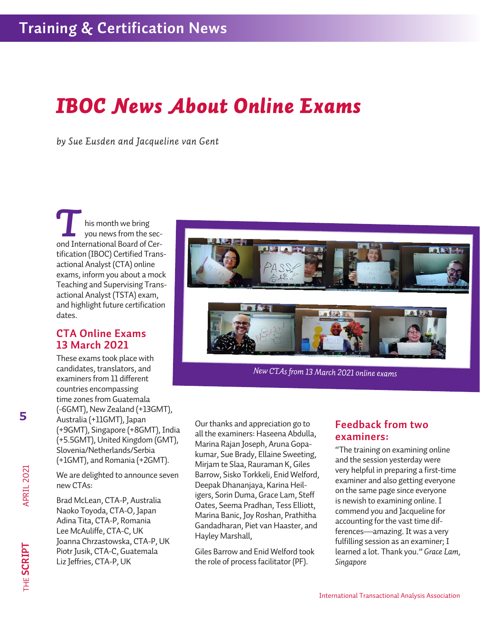### *IBOC News About Online Exams*

*by Sue Eusden and Jacqueline van Gent*

his month we bring you news from the second International Board of Cer-*T* tification (IBOC) Certified Transactional Analyst (CTA) online exams, inform you about a mock Teaching and Supervising Transactional Analyst (TSTA) exam, and highlight future certification dates.

### **CTA Online Exams 13 March 2021**

These exams took place with candidates, translators, and examiners from 11 different countries encompassing time zones from Guatemala (-6GMT), New Zealand (+13GMT), Australia (+11GMT), Japan (+9GMT), Singapore (+8GMT), India (+5.5GMT), United Kingdom (GMT), Slovenia/Netherlands/Serbia (+1GMT), and Romania (+2GMT).

We are delighted to announce seven new CTAs:

Brad McLean, CTA-P, Australia Naoko Toyoda, CTA-O, Japan Adina Tita, CTA-P, Romania Lee McAuliffe, CTA-C, UK Joanna Chrzastowska, CTA-P, UK Piotr Jusik, CTA-C, Guatemala Liz Jeffries, CTA-P, UK



*New CTAs from 13 March 2021 online exams*

Our thanks and appreciation go to all the examiners: Haseena Abdulla, Marina Rajan Joseph, Aruna Gopakumar, Sue Brady, Ellaine Sweeting, Mirjam te Slaa, Rauraman K, Giles Barrow, Sisko Torkkeli, Enid Welford, Deepak Dhananjaya, Karina Heiligers, Sorin Duma, Grace Lam, Steff Oates, Seema Pradhan, Tess Elliott, Marina Banic, Joy Roshan, Prathitha Gandadharan, Piet van Haaster, and Hayley Marshall,

Giles Barrow and Enid Welford took the role of process facilitator (PF).

### **Feedback from two examiners:**

"The training on examining online and the session yesterday were very helpful in preparing a first-time examiner and also getting everyone on the same page since everyone is newish to examining online. I commend you and Jacqueline for accounting for the vast time differences—amazing. It was a very fulfilling session as an examiner; I learned a lot. Thank you." *Grace Lam, Singapore*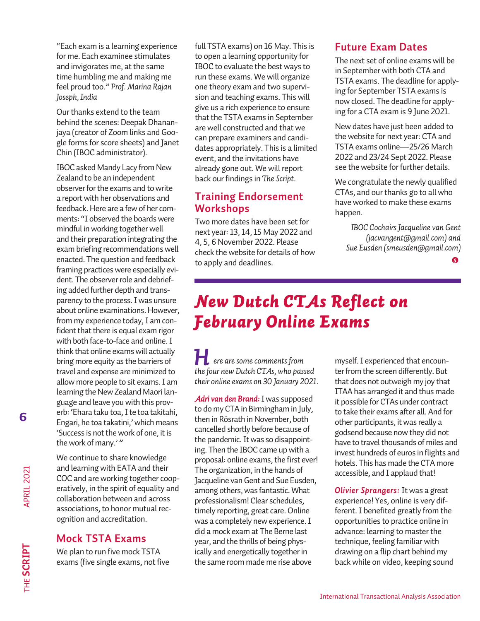"Each exam is a learning experience for me. Each examinee stimulates and invigorates me, at the same time humbling me and making me feel proud too." *Prof. Marina Rajan Joseph, India*

Our thanks extend to the team behind the scenes: Deepak Dhananjaya (creator of Zoom links and Google forms for score sheets) and Janet Chin (IBOC administrator).

IBOC asked Mandy Lacy from New Zealand to be an independent observer for the exams and to write a report with her observations and feedback. Here are a few of her comments: "I observed the boards were mindful in working together well and their preparation integrating the exam briefing recommendations well enacted. The question and feedback framing practices were especially evident. The observer role and debriefing added further depth and transparency to the process. I was unsure about online examinations. However, from my experience today, I am confident that there is equal exam rigor with both face-to-face and online. I think that online exams will actually bring more equity as the barriers of travel and expense are minimized to allow more people to sit exams. I am learning the New Zealand Maori language and leave you with this proverb: 'Ehara taku toa, I te toa takitahi, Engari, he toa takatini,' which means 'Success is not the work of one, it is the work of many.'"

We continue to share knowledge and learning with EATA and their COC and are working together cooperatively, in the spirit of equality and collaboration between and across associations, to honor mutual recognition and accreditation.

### **Mock TSTA Exams**

We plan to run five mock TSTA exams (five single exams, not five full TSTA exams) on 16 May. This is to open a learning opportunity for IBOC to evaluate the best ways to run these exams. We will organize one theory exam and two supervision and teaching exams. This will give us a rich experience to ensure that the TSTA exams in September are well constructed and that we can prepare examiners and candidates appropriately. This is a limited event, and the invitations have already gone out. We will report back our findings in *The Script*.

### **Training Endorsement Workshops**

Two more dates have been set for next year: 13, 14, 15 May 2022 and 4, 5, 6 November 2022. Please check the website for details of how to apply and deadlines.

### **Future Exam Dates**

The next set of online exams will be in September with both CTA and TSTA exams. The deadline for applying for September TSTA exams is now closed. The deadline for applying for a CTA exam is 9 June 2021.

New dates have just been added to the website for next year: CTA and TSTA exams online—25/26 March 2022 and 23/24 Sept 2022. Please see the website for further details.

We congratulate the newly qualified CTAs, and our thanks go to all who have worked to make these exams happen.

*IBOC Cochairs Jacqueline van Gent (jacvangent@gmail.com) and Sue Eusden (smeusden@gmail.com)* 

### *New Dutch CTAs Reflect on February Online Exams*

*ere are some comments from*<br>*He four new Dutch CT 4s, who has the four new Dutch CTAs, who passed their online exams on 30 January 2021.*

*Adri van den Brand:* I was supposed to do my CTA in Birmingham in July, then in Rösrath in November, both cancelled shortly before because of the pandemic. It was so disappointing. Then the IBOC came up with a proposal: online exams, the first ever! The organization, in the hands of Jacqueline van Gent and Sue Eusden, among others, was fantastic. What professionalism! Clear schedules, timely reporting, great care. Online was a completely new experience. I did a mock exam at The Berne last year, and the thrills of being physically and energetically together in the same room made me rise above

myself. I experienced that encounter from the screen differently. But that does not outweigh my joy that ITAA has arranged it and thus made it possible for CTAs under contract to take their exams after all. And for other participants, it was really a godsend because now they did not have to travel thousands of miles and invest hundreds of euros in flights and hotels. This has made the CTA more accessible, and I applaud that!

*Olivier Sprangers:* It was a great experience! Yes, online is very different. I benefited greatly from the opportunities to practice online in advance: learning to master the technique, feeling familiar with drawing on a flip chart behind my back while on video, keeping sound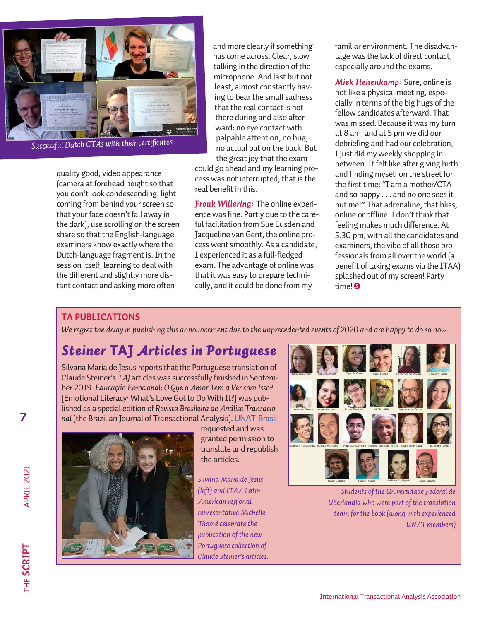

*Successful Dutch CTAs with their certificates*

quality good, video appearance (camera at forehead height so that you don't look condescending, light coming from behind your screen so that your face doesn't fall away in the dark), use scrolling on the screen share so that the English-language examiners know exactly where the Dutch-language fragment is. In the session itself, learning to deal with the different and slightly more distant contact and asking more often

and more clearly if something has come across. Clear, slow talking in the direction of the microphone. And last but not least, almost constantly having to bear the small sadness that the real contact is not there during and also afterward: no eye contact with palpable attention, no hug, no actual pat on the back. But the great joy that the exam

could go ahead and my learning process was not interrupted, that is the real benefit in this.

*Frouk Willering:* The online experience was fine. Partly due to the careful facilitation from Sue Eusden and Jacqueline van Gent, the online process went smoothly. As a candidate, I experienced it as a full-fledged exam. The advantage of online was that it was easy to prepare technically, and it could be done from my

familiar environment. The disadvantage was the lack of direct contact, especially around the exams.

*Miek Hehenkamp:* Sure, online is not like a physical meeting, especially in terms of the big hugs of the fellow candidates afterward. That was missed. Because it was my turn at 8 am, and at 5 pm we did our debriefing and had our celebration, I just did my weekly shopping in between. It felt like after giving birth and finding myself on the street for the first time: "I am a mother/CTA and so happy . . . and no one sees it but me!" That adrenaline, that bliss, online or offline. I don't think that feeling makes much difference. At 5.30 pm, with all the candidates and examiners, the vibe of all those professionals from all over the world (a benefit of taking exams via the ITAA) splashed out of my screen! Party time! *S*

### **TA PUBLICATIONS**

*We regret the delay in publishing this announcement due to the unprecedented events of 2020 and are happy to do so now.*

### *Steiner* TAJ *Articles in Portuguese*

Silvana Maria de Jesus reports that the Portuguese translation of Claude Steiner's *TAJ* articles was successfully finished in September 2019. *Educação Emocional: O Que o Amor Tem a Ver com Isso?* [Emotional Literacy: What's Love Got to Do With It?] was published as a special edition of *Revista Brasileira de Análise Transacional* (the Brazilian Journal of Transactional Analysis). [UNAT-Brasil](https://unat.org.br/portal/loja.php)



requested and was granted permission to translate and republish the articles.

*Silvana Maria de Jesus (left) and ITAA Latin American regional representative Michelle Thomé celebrate the publication of the new Portuguese collection of Claude Steiner's articles.*



*Students of the Universidade Federal de Uberlandia who were part of the translation team for the book (along with experienced UNAT members)*

**7**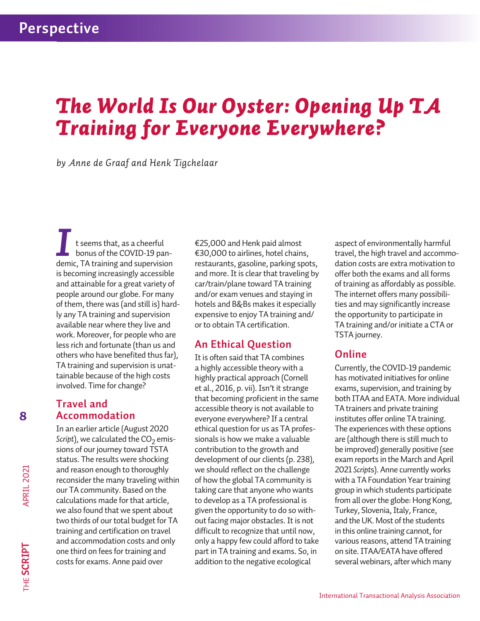# *The World Is Our Oyster: Opening Up TA Training for Everyone Everywhere?*

*by Anne de Graaf and Henk Tigchelaar*

t seems that, as a cheerful bonus of the COVID-19 pan-I t seems that, as a cheerful<br>bonus of the COVID-19 pan-<br>demic, TA training and supervision is becoming increasingly accessible and attainable for a great variety of people around our globe. For many of them, there was (and still is) hardly any TA training and supervision available near where they live and work. Moreover, for people who are less rich and fortunate (than us and others who have benefited thus far), TA training and supervision is unattainable because of the high costs involved. Time for change?

### **Travel and Accommodation**

In an earlier article (August 2020 *Script*), we calculated the  $CO<sub>2</sub>$  emissions of our journey toward TSTA status. The results were shocking and reason enough to thoroughly reconsider the many traveling within our TA community. Based on the calculations made for that article, we also found that we spent about two thirds of our total budget for TA training and certification on travel and accommodation costs and only one third on fees for training and costs for exams. Anne paid over

€25,000 and Henk paid almost €30,000 to airlines, hotel chains, restaurants, gasoline, parking spots, and more. It is clear that traveling by car/train/plane toward TA training and/or exam venues and staying in hotels and B&Bs makes it especially expensive to enjoy TA training and/ or to obtain TA certification.

### **An Ethical Question**

It is often said that TA combines a highly accessible theory with a highly practical approach (Cornell et al., 2016, p. vii). Isn't it strange that becoming proficient in the same accessible theory is not available to everyone everywhere? If a central ethical question for us as TA professionals is how we make a valuable contribution to the growth and development of our clients (p. 238), we should reflect on the challenge of how the global TA community is taking care that anyone who wants to develop as a TA professional is given the opportunity to do so without facing major obstacles. It is not difficult to recognize that until now, only a happy few could afford to take part in TA training and exams. So, in addition to the negative ecological

aspect of environmentally harmful travel, the high travel and accommodation costs are extra motivation to offer both the exams and all forms of training as affordably as possible. The internet offers many possibilities and may significantly increase the opportunity to participate in TA training and/or initiate a CTA or TSTA journey.

### **Online**

Currently, the COVID-19 pandemic has motivated initiatives for online exams, supervision, and training by both ITAA and EATA. More individual TA trainers and private training institutes offer online TA training. The experiences with these options are (although there is still much to be improved) generally positive (see exam reports in the March and April 2021 *Script*s). Anne currently works with a TA Foundation Year training group in which students participate from all over the globe: Hong Kong, Turkey, Slovenia, Italy, France, and the UK. Most of the students in this online training cannot, for various reasons, attend TA training on site. ITAA/EATA have offered several webinars, after which many

APRIL 2021

**8**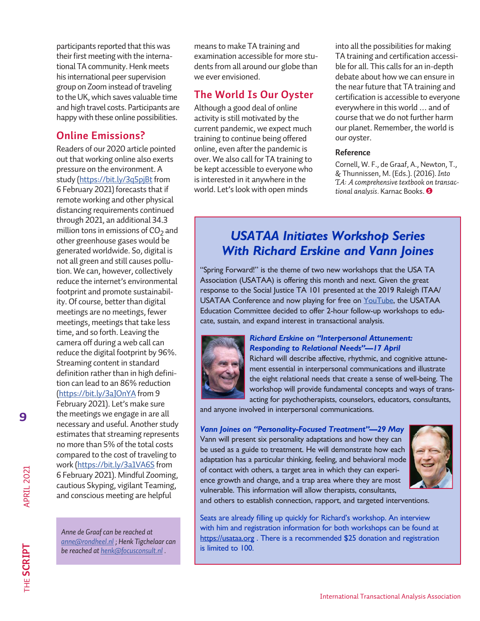participants reported that this was their first meeting with the international TA community. Henk meets his international peer supervision group on Zoom instead of traveling to the UK, which saves valuable time and high travel costs. Participants are happy with these online possibilities.

### **Online Emissions?**

Readers of our 2020 article pointed out that working online also exerts pressure on the environment. A study [\(https://bit.ly/3q5pjBt](https://bit.ly/3q5pjBt) from 6 February 2021) forecasts that if remote working and other physical distancing requirements continued through 2021, an additional 34.3 million tons in emissions of  $CO<sub>2</sub>$  and other greenhouse gases would be generated worldwide. So, digital is not all green and still causes pollution. We can, however, collectively reduce the internet's environmental footprint and promote sustainability. Of course, better than digital meetings are no meetings, fewer meetings, meetings that take less time, and so forth. Leaving the camera off during a web call can reduce the digital footprint by 96%. Streaming content in standard definition rather than in high definition can lead to an 86% reduction [\(https://bit.ly/3aJOnYA](https://bit.ly/3aJOnYA) from 9 February 2021). Let's make sure the meetings we engage in are all necessary and useful. Another study estimates that streaming represents no more than 5% of the total costs compared to the cost of traveling to work [\(https://bit.ly/3a1VA6S](https://bit.ly/3a1VA6S) from 6 February 2021). Mindful Zooming, cautious Skyping, vigilant Teaming, and conscious meeting are helpful

*Anne de Graaf can be reached at [anne@rondheel.nl](mailto:anne%40rondheel.nl?subject=) ; Henk Tigchelaar can be reached at [henk@focusconsult.nl](mailto:henk%40focusconsult.nl?subject=) .*

means to make TA training and examination accessible for more students from all around our globe than we ever envisioned.

### **The World Is Our Oyster**

Although a good deal of online activity is still motivated by the current pandemic, we expect much training to continue being offered online, even after the pandemic is over. We also call for TA training to be kept accessible to everyone who is interested in it anywhere in the world. Let's look with open minds

into all the possibilities for making TA training and certification accessible for all. This calls for an in-depth debate about how we can ensure in the near future that TA training and certification is accessible to everyone everywhere in this world … and of course that we do not further harm our planet. Remember, the world is our oyster.

#### **Reference**

Cornell, W. F., de Graaf, A., Newton, T., & Thunnissen, M. (Eds.). (2016). *Into TA: A comprehensive textbook on transactional analysis.* Karnac Books. *S*

### *USATAA Initiates Workshop Series With Richard Erskine and Vann Joines*

"Spring Forward!" is the theme of two new workshops that the USA TA Association (USATAA) is offering this month and next. Given the great response to the Social Justice TA 101 presented at the 2019 Raleigh ITAA/ USATAA Conference and now playing for free on [YouTube,](https://www.usataa.org/circles-of-interest/social-justice-circle/project-ta-101/) the USATAA Education Committee decided to offer 2-hour follow-up workshops to educate, sustain, and expand interest in transactional analysis.



### *Richard Erskine on "Interpersonal Attunement: Responding to Relational Needs"—17 April*

Richard will describe affective, rhythmic, and cognitive attunement essential in interpersonal communications and illustrate the eight relational needs that create a sense of well-being. The workshop will provide fundamental concepts and ways of transacting for psychotherapists, counselors, educators, consultants,

and anyone involved in interpersonal communications.

#### *Vann Joines on "Personality-Focused Treatment"—29 May*

Vann will present six personality adaptations and how they can be used as a guide to treatment. He will demonstrate how each adaptation has a particular thinking, feeling, and behavioral mode of contact with others, a target area in which they can experience growth and change, and a trap area where they are most vulnerable. This information will allow therapists, consultants,



and others to establish connection, rapport, and targeted interventions.

Seats are already filling up quickly for Richard's workshop. An interview with him and registration information for both workshops can be found at <https://usataa.org> . There is a recommended \$25 donation and registration is limited to 100.

APRIL 2021

**9**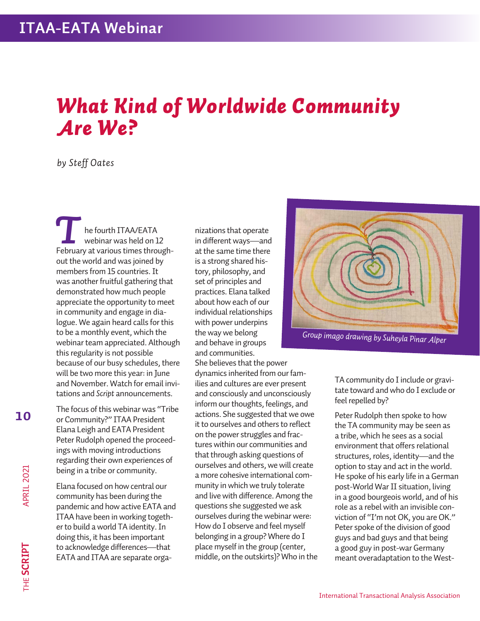# *What Kind of Worldwide Community Are We?*

### *by Steff Oates*

he fourth ITAA/EATA webinar was held on 12 **February at various times through-**<br>February at various times throughout the world and was joined by members from 15 countries. It was another fruitful gathering that demonstrated how much people appreciate the opportunity to meet in community and engage in dialogue. We again heard calls for this to be a monthly event, which the webinar team appreciated. Although this regularity is not possible because of our busy schedules, there will be two more this year: in June and November. Watch for email invitations and *Script* announcements.

The focus of this webinar was "Tribe or Community?" ITAA President Elana Leigh and EATA President Peter Rudolph opened the proceedings with moving introductions regarding their own experiences of being in a tribe or community.

Elana focused on how central our community has been during the pandemic and how active EATA and ITAA have been in working together to build a world TA identity. In doing this, it has been important to acknowledge differences—that EATA and ITAA are separate organizations that operate in different ways—and at the same time there is a strong shared history, philosophy, and set of principles and practices. Elana talked about how each of our individual relationships with power underpins the way we belong and behave in groups and communities.

She believes that the power dynamics inherited from our families and cultures are ever present and consciously and unconsciously inform our thoughts, feelings, and actions. She suggested that we owe it to ourselves and others to reflect on the power struggles and fractures within our communities and that through asking questions of ourselves and others, we will create a more cohesive international community in which we truly tolerate and live with difference. Among the questions she suggested we ask ourselves during the webinar were: How do I observe and feel myself belonging in a group? Where do I place myself in the group (center, middle, on the outskirts)? Who in the



*Group imago drawing by Suheyla Pinar Alper*

TA community do I include or gravitate toward and who do I exclude or feel repelled by?

Peter Rudolph then spoke to how the TA community may be seen as a tribe, which he sees as a social environment that offers relational structures, roles, identity—and the option to stay and act in the world. He spoke of his early life in a German post-World War II situation, living in a good bourgeois world, and of his role as a rebel with an invisible conviction of "I'm not OK, you are OK." Peter spoke of the division of good guys and bad guys and that being a good guy in post-war Germany meant overadaptation to the West-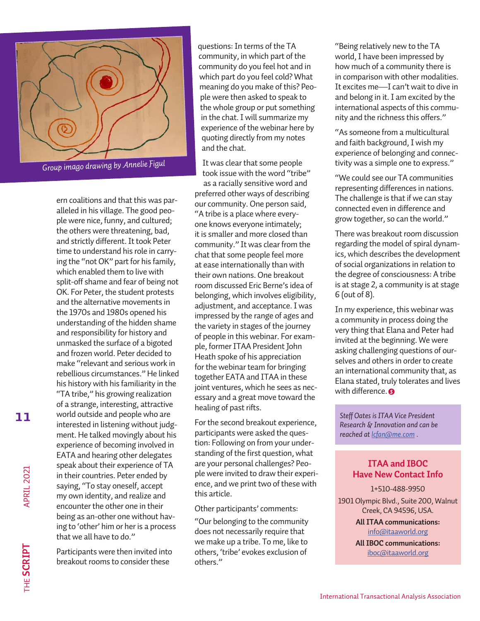

*Group imago drawing by Annelie Figul*

ern coalitions and that this was paralleled in his village. The good people were nice, funny, and cultured; the others were threatening, bad, and strictly different. It took Peter time to understand his role in carrying the "not OK" part for his family, which enabled them to live with split-off shame and fear of being not OK. For Peter, the student protests and the alternative movements in the 1970s and 1980s opened his understanding of the hidden shame and responsibility for history and unmasked the surface of a bigoted and frozen world. Peter decided to make "relevant and serious work in rebellious circumstances." He linked his history with his familiarity in the "TA tribe," his growing realization of a strange, interesting, attractive world outside and people who are interested in listening without judgment. He talked movingly about his experience of becoming involved in EATA and hearing other delegates speak about their experience of TA in their countries. Peter ended by saying, "To stay oneself, accept my own identity, and realize and encounter the other one in their being as an-other one without having to 'other' him or her is a process that we all have to do."

Participants were then invited into breakout rooms to consider these

questions: In terms of the TA community, in which part of the community do you feel hot and in which part do you feel cold? What meaning do you make of this? People were then asked to speak to the whole group or put something in the chat. I will summarize my experience of the webinar here by quoting directly from my notes and the chat.

It was clear that some people took issue with the word "tribe" as a racially sensitive word and preferred other ways of describing our community. One person said, "A tribe is a place where everyone knows everyone intimately; it is smaller and more closed than community." It was clear from the chat that some people feel more at ease internationally than with their own nations. One breakout room discussed Eric Berne's idea of belonging, which involves eligibility, adjustment, and acceptance. I was impressed by the range of ages and the variety in stages of the journey of people in this webinar. For example, former ITAA President John Heath spoke of his appreciation for the webinar team for bringing together EATA and ITAA in these joint ventures, which he sees as necessary and a great move toward the healing of past rifts.

For the second breakout experience, participants were asked the question: Following on from your understanding of the first question, what are your personal challenges? People were invited to draw their experience, and we print two of these with this article.

Other participants' comments:

"Our belonging to the community does not necessarily require that we make up a tribe. To me, like to others, 'tribe' evokes exclusion of others."

"Being relatively new to the TA world, I have been impressed by how much of a community there is in comparison with other modalities. It excites me—I can't wait to dive in and belong in it. I am excited by the international aspects of this community and the richness this offers."

"As someone from a multicultural and faith background, I wish my experience of belonging and connectivity was a simple one to express."

"We could see our TA communities representing differences in nations. The challenge is that if we can stay connected even in difference and grow together, so can the world."

There was breakout room discussion regarding the model of spiral dynamics, which describes the development of social organizations in relation to the degree of consciousness: A tribe is at stage 2, a community is at stage 6 (out of 8).

*S* with difference. In my experience, this webinar was a community in process doing the very thing that Elana and Peter had invited at the beginning. We were asking challenging questions of ourselves and others in order to create an international community that, as Elana stated, truly tolerates and lives

*Steff Oates is ITAA Vice President Research & Innovation and can be reached at [lcfan@me.com](mailto:lcfan%40me.com?subject=) .*

### **ITAA and IBOC Have New Contact Info**

1+510-488-9950

1901 Olympic Blvd., Suite 200, Walnut Creek, CA 94596, USA.

> **All ITAA communications:**  [info@itaaworld.org](mailto:info%40itaaworld.org?subject=)

**All IBOC communications:** [iboc@itaaworld.org](mailto:iboc%40itaaworld.org?subject=)

**11**